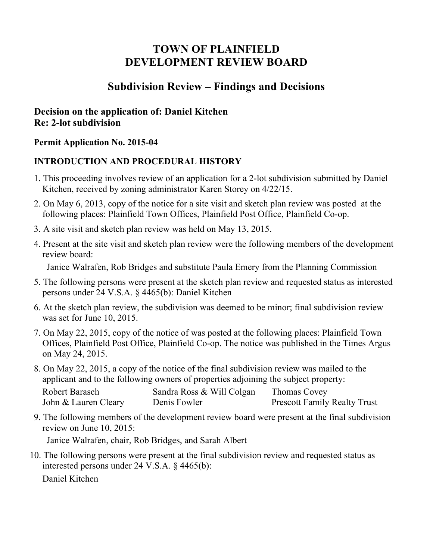# **TOWN OF PLAINFIELD DEVELOPMENT REVIEW BOARD**

## **Subdivision Review – Findings and Decisions**

## **Decision on the application of: Daniel Kitchen Re: 2-lot subdivision**

#### **Permit Application No. 2015-04**

#### **INTRODUCTION AND PROCEDURAL HISTORY**

- 1. This proceeding involves review of an application for a 2-lot subdivision submitted by Daniel Kitchen, received by zoning administrator Karen Storey on 4/22/15.
- 2. On May 6, 2013, copy of the notice for a site visit and sketch plan review was posted at the following places: Plainfield Town Offices, Plainfield Post Office, Plainfield Co-op.
- 3. A site visit and sketch plan review was held on May 13, 2015.
- 4. Present at the site visit and sketch plan review were the following members of the development review board:

Janice Walrafen, Rob Bridges and substitute Paula Emery from the Planning Commission

- 5. The following persons were present at the sketch plan review and requested status as interested persons under 24 V.S.A. § 4465(b): Daniel Kitchen
- 6. At the sketch plan review, the subdivision was deemed to be minor; final subdivision review was set for June 10, 2015.
- 7. On May 22, 2015, copy of the notice of was posted at the following places: Plainfield Town Offices, Plainfield Post Office, Plainfield Co-op. The notice was published in the Times Argus on May 24, 2015.
- 8. On May 22, 2015, a copy of the notice of the final subdivision review was mailed to the applicant and to the following owners of properties adjoining the subject property:

| Robert Barasch       | Sandra Ross & Will Colgan | Thomas Covey                        |
|----------------------|---------------------------|-------------------------------------|
| John & Lauren Cleary | Denis Fowler              | <b>Prescott Family Realty Trust</b> |

9. The following members of the development review board were present at the final subdivision review on June 10, 2015:

Janice Walrafen, chair, Rob Bridges, and Sarah Albert

10. The following persons were present at the final subdivision review and requested status as interested persons under 24 V.S.A. § 4465(b): Daniel Kitchen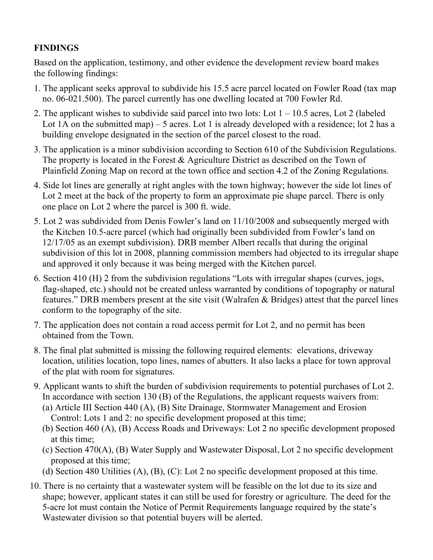## **FINDINGS**

Based on the application, testimony, and other evidence the development review board makes the following findings:

- 1. The applicant seeks approval to subdivide his 15.5 acre parcel located on Fowler Road (tax map no. 06-021.500). The parcel currently has one dwelling located at 700 Fowler Rd.
- 2. The applicant wishes to subdivide said parcel into two lots: Lot  $1 10.5$  acres, Lot 2 (labeled Lot 1A on the submitted map)  $-5$  acres. Lot 1 is already developed with a residence; lot 2 has a building envelope designated in the section of the parcel closest to the road.
- 3. The application is a minor subdivision according to Section 610 of the Subdivision Regulations. The property is located in the Forest & Agriculture District as described on the Town of Plainfield Zoning Map on record at the town office and section 4.2 of the Zoning Regulations.
- 4. Side lot lines are generally at right angles with the town highway; however the side lot lines of Lot 2 meet at the back of the property to form an approximate pie shape parcel. There is only one place on Lot 2 where the parcel is 300 ft. wide.
- 5. Lot 2 was subdivided from Denis Fowler's land on 11/10/2008 and subsequently merged with the Kitchen 10.5-acre parcel (which had originally been subdivided from Fowler's land on 12/17/05 as an exempt subdivision). DRB member Albert recalls that during the original subdivision of this lot in 2008, planning commission members had objected to its irregular shape and approved it only because it was being merged with the Kitchen parcel.
- 6. Section 410 (H) 2 from the subdivision regulations "Lots with irregular shapes (curves, jogs, flag-shaped, etc.) should not be created unless warranted by conditions of topography or natural features." DRB members present at the site visit (Walrafen & Bridges) attest that the parcel lines conform to the topography of the site.
- 7. The application does not contain a road access permit for Lot 2, and no permit has been obtained from the Town.
- 8. The final plat submitted is missing the following required elements: elevations, driveway location, utilities location, topo lines, names of abutters. It also lacks a place for town approval of the plat with room for signatures.
- 9. Applicant wants to shift the burden of subdivision requirements to potential purchases of Lot 2. In accordance with section 130 (B) of the Regulations, the applicant requests waivers from:
	- (a) Article III Section 440 (A), (B) Site Drainage, Stormwater Management and Erosion Control: Lots 1 and 2: no specific development proposed at this time;
	- (b) Section 460 (A), (B) Access Roads and Driveways: Lot 2 no specific development proposed at this time;
	- (c) Section 470(A), (B) Water Supply and Wastewater Disposal, Lot 2 no specific development proposed at this time;
	- (d) Section 480 Utilities (A), (B), (C): Lot 2 no specific development proposed at this time.
- 10. There is no certainty that a wastewater system will be feasible on the lot due to its size and shape; however, applicant states it can still be used for forestry or agriculture. The deed for the 5-acre lot must contain the Notice of Permit Requirements language required by the state's Wastewater division so that potential buyers will be alerted.